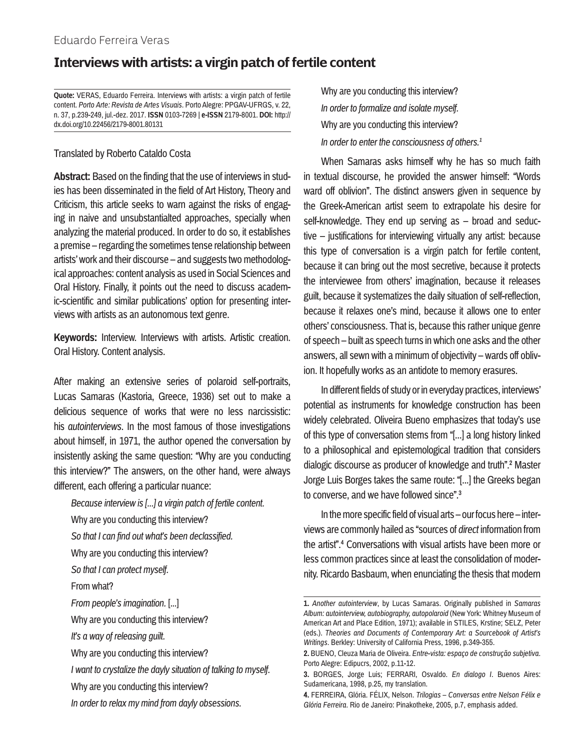# **Interviews with artists: a virgin patch of fertile content**

**Quote:** VERAS, Eduardo Ferreira. Interviews with artists: a virgin patch of fertile content. *Porto Arte: Revista de Artes Visuais*. Porto Alegre: PPGAV-UFRGS, v. 22, n. 37, p.239-249, jul.-dez. 2017. **ISSN** 0103-7269 | **e-ISSN** 2179-8001. **DOI:** http:// dx.doi.org/10.22456/2179-8001.80131

## Translated by Roberto Cataldo Costa

**Abstract:** Based on the finding that the use of interviews in studies has been disseminated in the field of Art History, Theory and Criticism, this article seeks to warn against the risks of engaging in naive and unsubstantialted approaches, specially when analyzing the material produced. In order to do so, it establishes a premise – regarding the sometimes tense relationship between artists' work and their discourse – and suggests two methodological approaches: content analysis as used in Social Sciences and Oral History. Finally, it points out the need to discuss academic-scientific and similar publications' option for presenting interviews with artists as an autonomous text genre.

**Keywords:** Interview. Interviews with artists. Artistic creation. Oral History. Content analysis.

After making an extensive series of polaroid self-portraits, Lucas Samaras (Kastoria, Greece, 1936) set out to make a delicious sequence of works that were no less narcissistic: his *autointerviews*. In the most famous of those investigations about himself, in 1971, the author opened the conversation by insistently asking the same question: "Why are you conducting this interview?" The answers, on the other hand, were always different, each offering a particular nuance:

*Because interview is [...] a virgin patch of fertile content.*

Why are you conducting this interview?

*So that I can find out what's been declassified.*

- Why are you conducting this interview?
- *So that I can protect myself.*

From what?

*From people's imagination.* [...]

Why are you conducting this interview?

*It's a way of releasing guilt.*

- *I want to crystalize the dayly situation of talking to myself.*
- Why are you conducting this interview?
- *In order to relax my mind from dayly obsessions.*

Why are you conducting this interview? *In order to formalize and isolate myself.* Why are you conducting this interview? *In order to enter the consciousness of others.1*

When Samaras asks himself why he has so much faith in textual discourse, he provided the answer himself: "Words ward off oblivion". The distinct answers given in sequence by the Greek-American artist seem to extrapolate his desire for self-knowledge. They end up serving as – broad and seductive – justifications for interviewing virtually any artist: because this type of conversation is a virgin patch for fertile content, because it can bring out the most secretive, because it protects the interviewee from others' imagination, because it releases guilt, because it systematizes the daily situation of self-reflection, because it relaxes one's mind, because it allows one to enter others' consciousness. That is, because this rather unique genre of speech – built as speech turns in which one asks and the other answers, all sewn with a minimum of objectivity – wards off oblivion. It hopefully works as an antidote to memory erasures.

In different fields of study or in everyday practices, interviews' potential as instruments for knowledge construction has been widely celebrated. Oliveira Bueno emphasizes that today's use of this type of conversation stems from "[...] a long history linked to a philosophical and epistemological tradition that considers dialogic discourse as producer of knowledge and truth".2 Master Jorge Luis Borges takes the same route: "[...] the Greeks began to converse, and we have followed since".3

In the more specific field of visual arts – our focus here – interviews are commonly hailed as "sources of *direct* information from the artist".4 Conversations with visual artists have been more or less common practices since at least the consolidation of modernity. Ricardo Basbaum, when enunciating the thesis that modern

Why are you conducting this interview?

**<sup>1.</sup>** *Another autointerview*, by Lucas Samaras. Originally published in *Samaras Album: autointerview, autobiography, autopolaroid* (New York: Whitney Museum of American Art and Place Edition, 1971); available in STILES, Krstine; SELZ, Peter (eds.). *Theories and Documents of Contemporary Art: a Sourcebook of Artist's Writings*. Berkley: University of California Press, 1996, p.349-355.

**<sup>2.</sup>** BUENO, Cleuza Maria de Oliveira. *Entre-vista: espaço de construção subjetiva*. Porto Alegre: Edipucrs, 2002, p.11-12.

**<sup>3.</sup>** BORGES, Jorge Luis; FERRARI, Osvaldo. *En dialogo I*. Buenos Aires: Sudamericana, 1998, p.25, my translation.

**<sup>4.</sup>** FERREIRA, Glória. FÉLIX, Nelson. *Trilogias – Conversas entre Nelson Félix e Glória Ferreira*. Rio de Janeiro: Pinakotheke, 2005, p.7, emphasis added.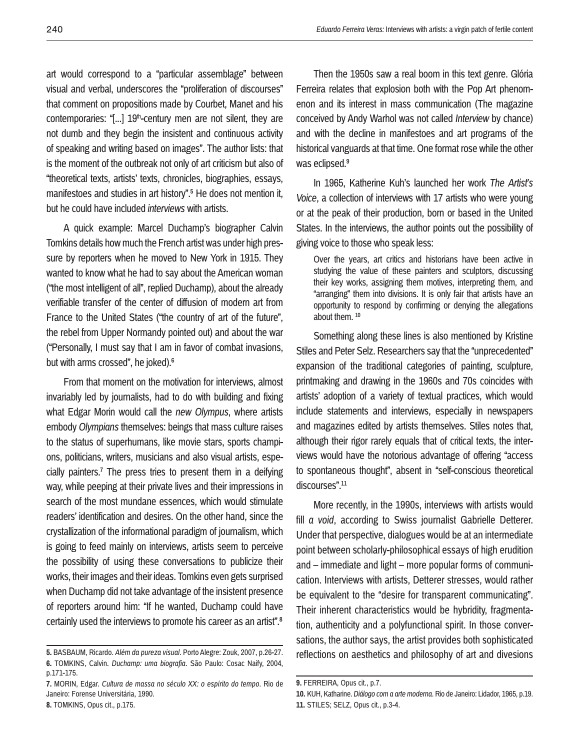art would correspond to a "particular assemblage" between visual and verbal, underscores the "proliferation of discourses" that comment on propositions made by Courbet, Manet and his contemporaries: "[...] 19<sup>th</sup>-century men are not silent, they are not dumb and they begin the insistent and continuous activity of speaking and writing based on images". The author lists: that is the moment of the outbreak not only of art criticism but also of "theoretical texts, artists' texts, chronicles, biographies, essays, manifestoes and studies in art history".<sup>5</sup> He does not mention it, but he could have included *interviews* with artists.

A quick example: Marcel Duchamp's biographer Calvin Tomkins details how much the French artist was under high pressure by reporters when he moved to New York in 1915. They wanted to know what he had to say about the American woman ("the most intelligent of all", replied Duchamp), about the already verifiable transfer of the center of diffusion of modern art from France to the United States ("the country of art of the future", the rebel from Upper Normandy pointed out) and about the war ("Personally, I must say that I am in favor of combat invasions, but with arms crossed", he joked).<sup>6</sup>

From that moment on the motivation for interviews, almost invariably led by journalists, had to do with building and fixing what Edgar Morin would call the *new Olympus*, where artists embody *Olympians* themselves: beings that mass culture raises to the status of superhumans, like movie stars, sports champions, politicians, writers, musicians and also visual artists, especially painters.7 The press tries to present them in a deifying way, while peeping at their private lives and their impressions in search of the most mundane essences, which would stimulate readers' identification and desires. On the other hand, since the crystallization of the informational paradigm of journalism, which is going to feed mainly on interviews, artists seem to perceive the possibility of using these conversations to publicize their works, their images and their ideas. Tomkins even gets surprised when Duchamp did not take advantage of the insistent presence of reporters around him: "If he wanted, Duchamp could have certainly used the interviews to promote his career as an artist".8

Then the 1950s saw a real boom in this text genre. Glória Ferreira relates that explosion both with the Pop Art phenomenon and its interest in mass communication (The magazine conceived by Andy Warhol was not called *Interview* by chance) and with the decline in manifestoes and art programs of the historical vanguards at that time. One format rose while the other was eclipsed.<sup>9</sup>

In 1965, Katherine Kuh's launched her work *The Artist's Voice*, a collection of interviews with 17 artists who were young or at the peak of their production, born or based in the United States. In the interviews, the author points out the possibility of giving voice to those who speak less:

Over the years, art critics and historians have been active in studying the value of these painters and sculptors, discussing their key works, assigning them motives, interpreting them, and "arranging" them into divisions. It is only fair that artists have an opportunity to respond by confirming or denying the allegations about them. 10

Something along these lines is also mentioned by Kristine Stiles and Peter Selz. Researchers say that the "unprecedented" expansion of the traditional categories of painting, sculpture, printmaking and drawing in the 1960s and 70s coincides with artists' adoption of a variety of textual practices, which would include statements and interviews, especially in newspapers and magazines edited by artists themselves. Stiles notes that, although their rigor rarely equals that of critical texts, the interviews would have the notorious advantage of offering "access to spontaneous thought", absent in "self-conscious theoretical discourses".<sup>11</sup>

More recently, in the 1990s, interviews with artists would fill *a void*, according to Swiss journalist Gabrielle Detterer. Under that perspective, dialogues would be at an intermediate point between scholarly-philosophical essays of high erudition and – immediate and light – more popular forms of communication. Interviews with artists, Detterer stresses, would rather be equivalent to the "desire for transparent communicating". Their inherent characteristics would be hybridity, fragmentation, authenticity and a polyfunctional spirit. In those conversations, the author says, the artist provides both sophisticated reflections on aesthetics and philosophy of art and divesions

**<sup>5.</sup>** BASBAUM, Ricardo. *Além da pureza visual*. Porto Alegre: Zouk, 2007, p.26-27. **6.** TOMKINS, Calvin. *Duchamp: uma biografia*. São Paulo: Cosac Naify, 2004, p.171-175.

**<sup>7.</sup>** MORIN, Edgar. *Cultura de massa no século XX: o espírito do tempo*. Rio de Janeiro: Forense Universitária, 1990.

**<sup>9.</sup>** FERREIRA, Opus cit., p.7.

**<sup>10.</sup>** KUH, Katharine. *Diálogo com a arte moderna*. Rio de Janeiro: Lidador, 1965, p.19. **11.** STILES; SELZ, Opus cit., p.3-4.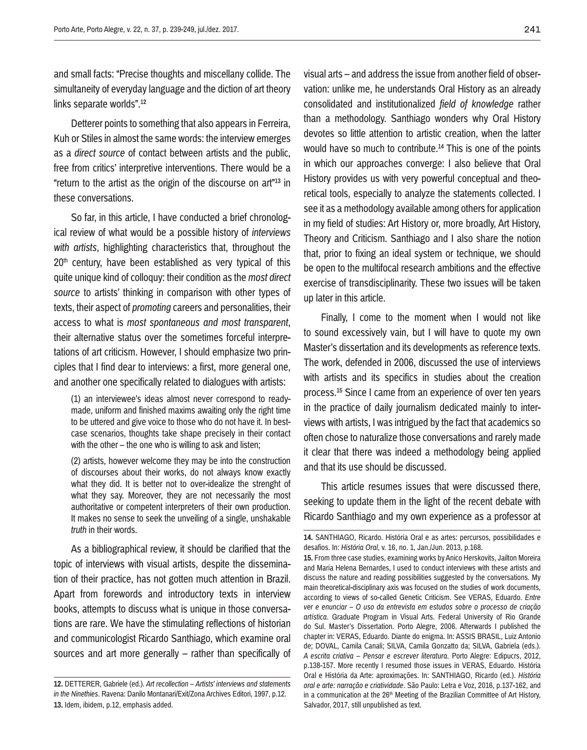and small facts: "Precise thoughts and miscellany collide. The simultaneity of everyday language and the diction of art theory links separate worlds".12

Detterer points to something that also appears in Ferreira, Kuh or Stiles in almost the same words: the interview emerges as a *direct source* of contact between artists and the public, free from critics' interpretive interventions. There would be a "return to the artist as the origin of the discourse on art"13 in these conversations.

So far, in this article, I have conducted a brief chronological review of what would be a possible history of *interviews with artists*, highlighting characteristics that, throughout the  $20<sup>th</sup>$  century, have been established as very typical of this quite unique kind of colloquy: their condition as the *most direct source* to artists' thinking in comparison with other types of texts, their aspect of *promoting* careers and personalities, their access to what is *most spontaneous and most transparent*, their alternative status over the sometimes forceful interpretations of art criticism. However, I should emphasize two principles that I find dear to interviews: a first, more general one, and another one specifically related to dialogues with artists:

(1) an interviewee's ideas almost never correspond to readymade, uniform and finished maxims awaiting only the right time to be uttered and give voice to those who do not have it. In bestcase scenarios, thoughts take shape precisely in their contact with the other – the one who is willing to ask and listen;

(2) artists, however welcome they may be into the construction of discourses about their works, do not always know exactly what they did. It is better not to over-idealize the strenght of what they say. Moreover, they are not necessarily the most authoritative or competent interpreters of their own production. It makes no sense to seek the unveiling of a single, unshakable *truth* in their words.

As a bibliographical review, it should be clarified that the topic of interviews with visual artists, despite the dissemination of their practice, has not gotten much attention in Brazil. Apart from forewords and introductory texts in interview books, attempts to discuss what is unique in those conversations are rare. We have the stimulating reflections of historian and communicologist Ricardo Santhiago, which examine oral sources and art more generally – rather than specifically of visual arts – and address the issue from another field of observation: unlike me, he understands Oral History as an already consolidated and institutionalized *field of knowledge* rather than a methodology. Santhiago wonders why Oral History devotes so little attention to artistic creation, when the latter would have so much to contribute.14 This is one of the points in which our approaches converge: I also believe that Oral History provides us with very powerful conceptual and theoretical tools, especially to analyze the statements collected. I see it as a methodology available among others for application in my field of studies: Art History or, more broadly, Art History, Theory and Criticism. Santhiago and I also share the notion that, prior to fixing an ideal system or technique, we should be open to the multifocal research ambitions and the effective exercise of transdisciplinarity. These two issues will be taken up later in this article.

Finally, I come to the moment when I would not like to sound excessively vain, but I will have to quote my own Master's dissertation and its developments as reference texts. The work, defended in 2006, discussed the use of interviews with artists and its specifics in studies about the creation process.15 Since I came from an experience of over ten years in the practice of daily journalism dedicated mainly to interviews with artists, I was intrigued by the fact that academics so often chose to naturalize those conversations and rarely made it clear that there was indeed a methodology being applied and that its use should be discussed.

This article resumes issues that were discussed there, seeking to update them in the light of the recent debate with Ricardo Santhiago and my own experience as a professor at

**<sup>12.</sup>** DETTERER, Gabriele (ed.). *Art recollection – Artists' interviews and statements in the Ninethies*. Ravena: Danilo Montanari/Exit/Zona Archives Editori, 1997, p.12. **13.** Idem, ibidem, p.12, emphasis added.

**<sup>14.</sup>** SANTHIAGO, Ricardo. História Oral e as artes: percursos, possibilidades e desafios. In: *História Oral*, v. 16, no. 1, Jan./Jun. 2013, p.168. **15.** From three case studies, examining works by Anico Herskovits, Jailton Moreira and Maria Helena Bernardes, I used to conduct interviews with these artists and discuss the nature and reading possibilities suggested by the conversations. My main theoretical-disciplinary axis was focused on the studies of work documents, according to views of so-called Genetic Criticism. See VERAS, Eduardo. *Entre ver e enunciar – O uso da entrevista em estudos sobre o processo de criação artística*. Graduate Program in Visual Arts. Federal University of Rio Grande do Sul. Master's Dissertation. Porto Alegre, 2006. Afterwards I published the chapter in: VERAS, Eduardo. Diante do enigma. In: ASSIS BRASIL, Luiz Antonio de; DOVAL, Camila Canali; SILVA, Camila Gonzatto da; SILVA, Gabriela (eds.). *A escrita criativa – Pensar e escrever literatura*. Porto Alegre: Edipucrs, 2012, p.138-157. More recently I resumed those issues in VERAS, Eduardo. História Oral e História da Arte: aproximações. In: SANTHIAGO, Ricardo (ed.). *História oral e arte: narração e criatividade*. São Paulo: Letra e Voz, 2016, p.137-162, and in a communication at the  $26<sup>th</sup>$  Meeting of the Brazilian Committee of Art History, Salvador, 2017, still unpublished as text.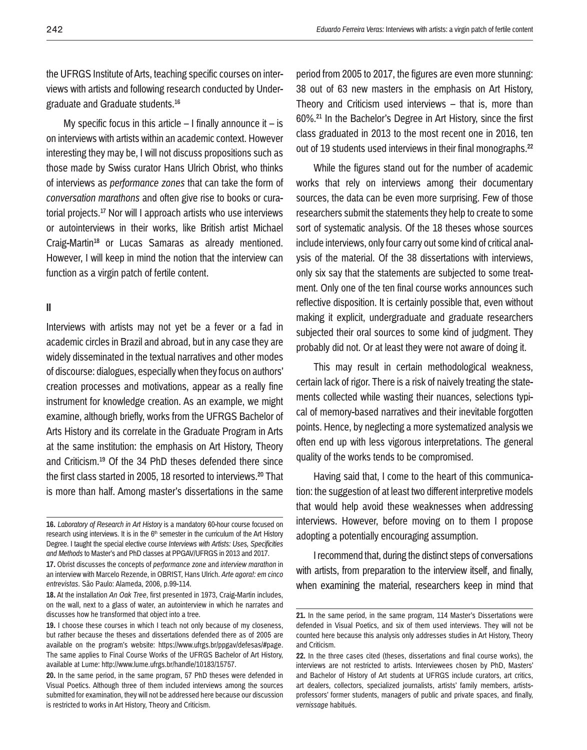the UFRGS Institute of Arts, teaching specific courses on interviews with artists and following research conducted by Undergraduate and Graduate students.16

My specific focus in this article  $-1$  finally announce it  $-$  is on interviews with artists within an academic context. However interesting they may be, I will not discuss propositions such as those made by Swiss curator Hans Ulrich Obrist, who thinks of interviews as *performance zones* that can take the form of *conversation marathons* and often give rise to books or curatorial projects.17 Nor will I approach artists who use interviews or autointerviews in their works, like British artist Michael Craig-Martin<sup>18</sup> or Lucas Samaras as already mentioned. However, I will keep in mind the notion that the interview can function as a virgin patch of fertile content.

## **II**

Interviews with artists may not yet be a fever or a fad in academic circles in Brazil and abroad, but in any case they are widely disseminated in the textual narratives and other modes of discourse: dialogues, especially when they focus on authors' creation processes and motivations, appear as a really fine instrument for knowledge creation. As an example, we might examine, although briefly, works from the UFRGS Bachelor of Arts History and its correlate in the Graduate Program in Arts at the same institution: the emphasis on Art History, Theory and Criticism.19 Of the 34 PhD theses defended there since the first class started in 2005, 18 resorted to interviews.20 That is more than half. Among master's dissertations in the same

period from 2005 to 2017, the figures are even more stunning: 38 out of 63 new masters in the emphasis on Art History, Theory and Criticism used interviews – that is, more than 60%.21 In the Bachelor's Degree in Art History, since the first class graduated in 2013 to the most recent one in 2016, ten out of 19 students used interviews in their final monographs.<sup>22</sup>

While the figures stand out for the number of academic works that rely on interviews among their documentary sources, the data can be even more surprising. Few of those researchers submit the statements they help to create to some sort of systematic analysis. Of the 18 theses whose sources include interviews, only four carry out some kind of critical analysis of the material. Of the 38 dissertations with interviews, only six say that the statements are subjected to some treatment. Only one of the ten final course works announces such reflective disposition. It is certainly possible that, even without making it explicit, undergraduate and graduate researchers subjected their oral sources to some kind of judgment. They probably did not. Or at least they were not aware of doing it.

This may result in certain methodological weakness, certain lack of rigor. There is a risk of naively treating the statements collected while wasting their nuances, selections typical of memory-based narratives and their inevitable forgotten points. Hence, by neglecting a more systematized analysis we often end up with less vigorous interpretations. The general quality of the works tends to be compromised.

Having said that, I come to the heart of this communication: the suggestion of at least two different interpretive models that would help avoid these weaknesses when addressing interviews. However, before moving on to them I propose adopting a potentially encouraging assumption.

I recommend that, during the distinct steps of conversations with artists, from preparation to the interview itself, and finally, when examining the material, researchers keep in mind that

**<sup>16.</sup>** *Laboratory of Research in Art History* is a mandatory 60-hour course focused on research using interviews. It is in the  $6<sup>th</sup>$  semester in the curriculum of the Art History Degree. I taught the special elective course *Interviews with Artists: Uses, Specificities and Methods* to Master's and PhD classes at PPGAV/UFRGS in 2013 and 2017.

**<sup>17.</sup>** Obrist discusses the concepts of *performance zone* and *interview marathon* in an interview with Marcelo Rezende, in OBRIST, Hans Ulrich. *Arte agora!: em cinco entrevistas*. São Paulo: Alameda, 2006, p.99-114.

**<sup>18.</sup>** At the installation *An Oak Tree*, first presented in 1973, Craig-Martin includes, on the wall, next to a glass of water, an autointerview in which he narrates and discusses how he transformed that object into a tree.

**<sup>19.</sup>** I choose these courses in which I teach not only because of my closeness, but rather because the theses and dissertations defended there as of 2005 are available on the program's website: https://www.ufrgs.br/ppgav/defesas/#page. The same applies to Final Course Works of the UFRGS Bachelor of Art History, available at Lume: http://www.lume.ufrgs.br/handle/10183/15757.

**<sup>20.</sup>** In the same period, in the same program, 57 PhD theses were defended in Visual Poetics. Although three of them included interviews among the sources submitted for examination, they will not be addressed here because our discussion is restricted to works in Art History, Theory and Criticism.

**<sup>21.</sup>** In the same period, in the same program, 114 Master's Dissertations were defended in Visual Poetics, and six of them used interviews. They will not be counted here because this analysis only addresses studies in Art History, Theory and Criticism.

**<sup>22.</sup>** In the three cases cited (theses, dissertations and final course works), the interviews are not restricted to artists. Interviewees chosen by PhD, Masters' and Bachelor of History of Art students at UFRGS include curators, art critics, art dealers, collectors, specialized journalists, artists' family members, artistsprofessors' former students, managers of public and private spaces, and finally, *vernissage* habitués.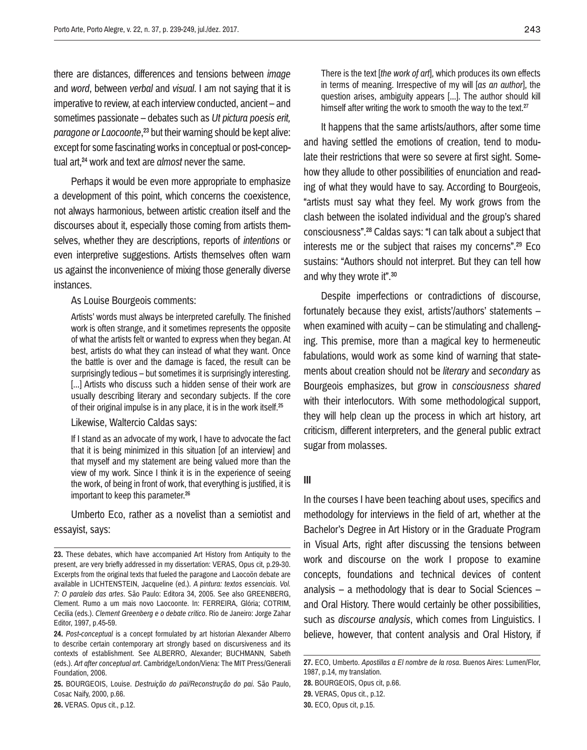there are distances, differences and tensions between *image* and *word*, between *verbal* and *visual*. I am not saying that it is imperative to review, at each interview conducted, ancient – and sometimes passionate – debates such as *Ut pictura poesis erit, paragone or Laocoonte*,<sup>23</sup> but their warning should be kept alive: except for some fascinating works in conceptual or post-conceptual art,24 work and text are *almost* never the same.

Perhaps it would be even more appropriate to emphasize a development of this point, which concerns the coexistence, not always harmonious, between artistic creation itself and the discourses about it, especially those coming from artists themselves, whether they are descriptions, reports of *intentions* or even interpretive suggestions. Artists themselves often warn us against the inconvenience of mixing those generally diverse instances.

As Louise Bourgeois comments:

Artists' words must always be interpreted carefully. The finished work is often strange, and it sometimes represents the opposite of what the artists felt or wanted to express when they began. At best, artists do what they can instead of what they want. Once the battle is over and the damage is faced, the result can be surprisingly tedious – but sometimes it is surprisingly interesting. [...] Artists who discuss such a hidden sense of their work are usually describing literary and secondary subjects. If the core of their original impulse is in any place, it is in the work itself.25

Likewise, Waltercio Caldas says:

If I stand as an advocate of my work, I have to advocate the fact that it is being minimized in this situation [of an interview] and that myself and my statement are being valued more than the view of my work. Since I think it is in the experience of seeing the work, of being in front of work, that everything is justified, it is important to keep this parameter.26

Umberto Eco, rather as a novelist than a semiotist and essayist, says:

**26.** VERAS. Opus cit., p.12.

It happens that the same artists/authors, after some time and having settled the emotions of creation, tend to modulate their restrictions that were so severe at first sight. Somehow they allude to other possibilities of enunciation and reading of what they would have to say. According to Bourgeois, "artists must say what they feel. My work grows from the clash between the isolated individual and the group's shared consciousness".28 Caldas says: "I can talk about a subject that interests me or the subject that raises my concerns".29 Eco sustains: "Authors should not interpret. But they can tell how and why they wrote it".30

Despite imperfections or contradictions of discourse, fortunately because they exist, artists'/authors' statements – when examined with acuity – can be stimulating and challenging. This premise, more than a magical key to hermeneutic fabulations, would work as some kind of warning that statements about creation should not be *literary* and *secondary* as Bourgeois emphasizes, but grow in *consciousness shared* with their interlocutors. With some methodological support, they will help clean up the process in which art history, art criticism, different interpreters, and the general public extract sugar from molasses.

#### **III**

In the courses I have been teaching about uses, specifics and methodology for interviews in the field of art, whether at the Bachelor's Degree in Art History or in the Graduate Program in Visual Arts, right after discussing the tensions between work and discourse on the work I propose to examine concepts, foundations and technical devices of content analysis – a methodology that is dear to Social Sciences – and Oral History. There would certainly be other possibilities, such as *discourse analysis*, which comes from Linguistics. I believe, however, that content analysis and Oral History, if

**<sup>23.</sup>** These debates, which have accompanied Art History from Antiquity to the present, are very briefly addressed in my dissertation: VERAS, Opus cit, p.29-30. Excerpts from the original texts that fueled the paragone and Laocoön debate are available in LICHTENSTEIN, Jacqueline (ed.). *A pintura: textos essenciais. Vol. 7: O paralelo das artes*. São Paulo: Editora 34, 2005. See also GREENBERG, Clement. Rumo a um mais novo Laocoonte. In: FERREIRA, Glória; COTRIM, Cecilia (eds.). *Clement Greenberg e o debate crítico*. Rio de Janeiro: Jorge Zahar Editor, 1997, p.45-59.

**<sup>24.</sup>** *Post-conceptual* is a concept formulated by art historian Alexander Alberro to describe certain contemporary art strongly based on discursiveness and its contexts of establishment. See ALBERRO, Alexander; BUCHMANN, Sabeth (eds.). *Art after conceptual art*. Cambridge/London/Viena: The MIT Press/Generali Foundation, 2006.

**<sup>25.</sup>** BOURGEOIS, Louise. *Destruição do pai/Reconstrução do pai*. São Paulo, Cosac Naify, 2000, p.66.

**<sup>27.</sup>** ECO, Umberto. *Apostillas a El nombre de la rosa*. Buenos Aires: Lumen/Flor, 1987, p.14, my translation.

**<sup>28.</sup>** BOURGEOIS, Opus cit, p.66.

**<sup>29.</sup>** VERAS, Opus cit., p.12. **30.** ECO, Opus cit, p.15.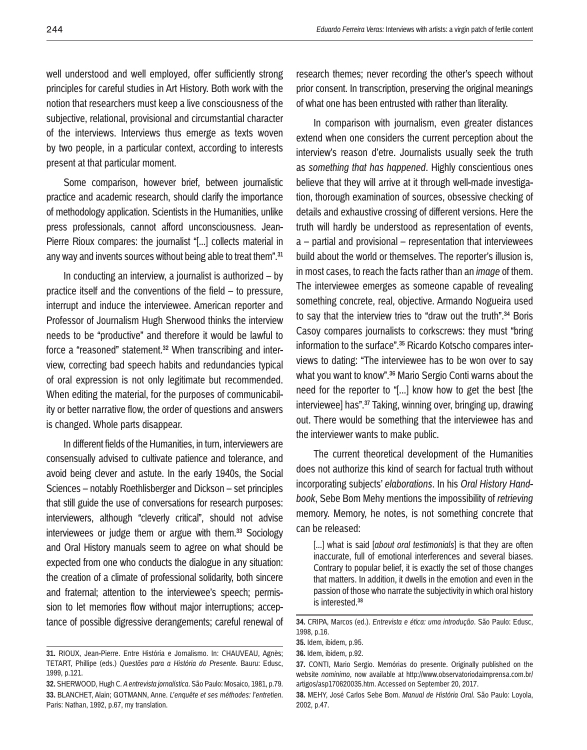well understood and well employed, offer sufficiently strong principles for careful studies in Art History. Both work with the notion that researchers must keep a live consciousness of the subjective, relational, provisional and circumstantial character of the interviews. Interviews thus emerge as texts woven by two people, in a particular context, according to interests present at that particular moment.

Some comparison, however brief, between journalistic practice and academic research, should clarify the importance of methodology application. Scientists in the Humanities, unlike press professionals, cannot afford unconsciousness. Jean-Pierre Rioux compares: the journalist "[...] collects material in any way and invents sources without being able to treat them".<sup>31</sup>

In conducting an interview, a journalist is authorized  $-$  by practice itself and the conventions of the field – to pressure, interrupt and induce the interviewee. American reporter and Professor of Journalism Hugh Sherwood thinks the interview needs to be "productive" and therefore it would be lawful to force a "reasoned" statement.<sup>32</sup> When transcribing and interview, correcting bad speech habits and redundancies typical of oral expression is not only legitimate but recommended. When editing the material, for the purposes of communicability or better narrative flow, the order of questions and answers is changed. Whole parts disappear.

In different fields of the Humanities, in turn, interviewers are consensually advised to cultivate patience and tolerance, and avoid being clever and astute. In the early 1940s, the Social Sciences – notably Roethlisberger and Dickson – set principles that still guide the use of conversations for research purposes: interviewers, although "cleverly critical", should not advise interviewees or judge them or argue with them.<sup>33</sup> Sociology and Oral History manuals seem to agree on what should be expected from one who conducts the dialogue in any situation: the creation of a climate of professional solidarity, both sincere and fraternal; attention to the interviewee's speech; permission to let memories flow without major interruptions; acceptance of possible digressive derangements; careful renewal of research themes; never recording the other's speech without prior consent. In transcription, preserving the original meanings of what one has been entrusted with rather than literality.

In comparison with journalism, even greater distances extend when one considers the current perception about the interview's reason d'etre. Journalists usually seek the truth as *something that has happened*. Highly conscientious ones believe that they will arrive at it through well-made investigation, thorough examination of sources, obsessive checking of details and exhaustive crossing of different versions. Here the truth will hardly be understood as representation of events, a – partial and provisional – representation that interviewees build about the world or themselves. The reporter's illusion is, in most cases, to reach the facts rather than an *image* of them. The interviewee emerges as someone capable of revealing something concrete, real, objective. Armando Nogueira used to say that the interview tries to "draw out the truth".34 Boris Casoy compares journalists to corkscrews: they must "bring information to the surface".35 Ricardo Kotscho compares interviews to dating: "The interviewee has to be won over to say what you want to know".36 Mario Sergio Conti warns about the need for the reporter to "[...] know how to get the best [the interviewee] has".37 Taking, winning over, bringing up, drawing out. There would be something that the interviewee has and the interviewer wants to make public.

The current theoretical development of the Humanities does not authorize this kind of search for factual truth without incorporating subjects' *elaborations*. In his *Oral History Handbook*, Sebe Bom Mehy mentions the impossibility of *retrieving* memory. Memory, he notes, is not something concrete that can be released:

[...] what is said *[about oral testimonials]* is that they are often inaccurate, full of emotional interferences and several biases. Contrary to popular belief, it is exactly the set of those changes that matters. In addition, it dwells in the emotion and even in the passion of those who narrate the subjectivity in which oral history is interested.38

**<sup>31.</sup>** RIOUX, Jean-Pierre. Entre História e Jornalismo. In: CHAUVEAU, Agnès; TETART, Phillipe (eds.) *Questões para a História do Presente*. Bauru: Edusc, 1999, p.121.

**<sup>32.</sup>** SHERWOOD, Hugh C. *A entrevista jornalística*. São Paulo: Mosaico, 1981, p.79. **33.** BLANCHET, Alain; GOTMANN, Anne. *L'enquête et ses méthodes: l'entretien*. Paris: Nathan, 1992, p.67, my translation.

**<sup>34.</sup>** CRIPA, Marcos (ed.). *Entrevista e ética: uma introdução*. São Paulo: Edusc, 1998, p.16.

**<sup>35.</sup>** Idem, ibidem, p.95.

**<sup>36.</sup>** Idem, ibidem, p.92.

**<sup>37.</sup>** CONTI, Mario Sergio. Memórias do presente. Originally published on the website *nominimo*, now available at http://www.observatoriodaimprensa.com.br/ artigos/asp170620035.htm. Accessed on September 20, 2017.

**<sup>38.</sup>** MEHY, José Carlos Sebe Bom. *Manual de História Oral*. São Paulo: Loyola, 2002, p.47.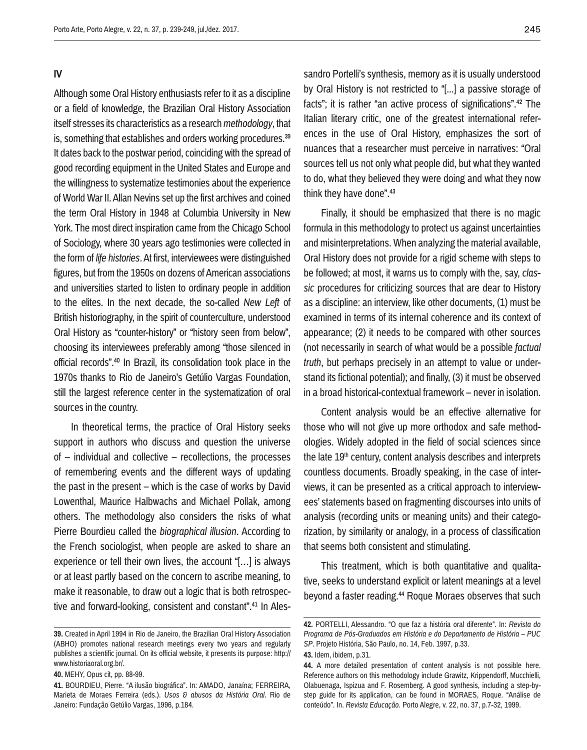#### **IV**

Although some Oral History enthusiasts refer to it as a discipline or a field of knowledge, the Brazilian Oral History Association itself stresses its characteristics as a research *methodology*, that is, something that establishes and orders working procedures.<sup>39</sup> It dates back to the postwar period, coinciding with the spread of good recording equipment in the United States and Europe and the willingness to systematize testimonies about the experience of World War II. Allan Nevins set up the first archives and coined the term Oral History in 1948 at Columbia University in New York. The most direct inspiration came from the Chicago School of Sociology, where 30 years ago testimonies were collected in the form of *life histories*. At first, interviewees were distinguished figures, but from the 1950s on dozens of American associations and universities started to listen to ordinary people in addition to the elites. In the next decade, the so-called *New Left* of British historiography, in the spirit of counterculture, understood Oral History as "counter-history" or "history seen from below", choosing its interviewees preferably among "those silenced in official records".40 In Brazil, its consolidation took place in the 1970s thanks to Rio de Janeiro's Getúlio Vargas Foundation, still the largest reference center in the systematization of oral sources in the country.

In theoretical terms, the practice of Oral History seeks support in authors who discuss and question the universe of – individual and collective – recollections, the processes of remembering events and the different ways of updating the past in the present – which is the case of works by David Lowenthal, Maurice Halbwachs and Michael Pollak, among others. The methodology also considers the risks of what Pierre Bourdieu called the *biographical illusion*. According to the French sociologist, when people are asked to share an experience or tell their own lives, the account "[…] is always or at least partly based on the concern to ascribe meaning, to make it reasonable, to draw out a logic that is both retrospective and forward-looking, consistent and constant".<sup>41</sup> In Alessandro Portelli's synthesis, memory as it is usually understood by Oral History is not restricted to "[...] a passive storage of facts"; it is rather "an active process of significations".42 The Italian literary critic, one of the greatest international references in the use of Oral History, emphasizes the sort of nuances that a researcher must perceive in narratives: "Oral sources tell us not only what people did, but what they wanted to do, what they believed they were doing and what they now think they have done".43

Finally, it should be emphasized that there is no magic formula in this methodology to protect us against uncertainties and misinterpretations. When analyzing the material available, Oral History does not provide for a rigid scheme with steps to be followed; at most, it warns us to comply with the, say, *classic* procedures for criticizing sources that are dear to History as a discipline: an interview, like other documents, (1) must be examined in terms of its internal coherence and its context of appearance; (2) it needs to be compared with other sources (not necessarily in search of what would be a possible *factual truth*, but perhaps precisely in an attempt to value or understand its fictional potential); and finally, (3) it must be observed in a broad historical-contextual framework – never in isolation.

Content analysis would be an effective alternative for those who will not give up more orthodox and safe methodologies. Widely adopted in the field of social sciences since the late 19<sup>th</sup> century, content analysis describes and interprets countless documents. Broadly speaking, in the case of interviews, it can be presented as a critical approach to interviewees' statements based on fragmenting discourses into units of analysis (recording units or meaning units) and their categorization, by similarity or analogy, in a process of classification that seems both consistent and stimulating.

This treatment, which is both quantitative and qualitative, seeks to understand explicit or latent meanings at a level beyond a faster reading.<sup>44</sup> Roque Moraes observes that such

**<sup>39.</sup>** Created in April 1994 in Rio de Janeiro, the Brazilian Oral History Association (ABHO) promotes national research meetings every two years and regularly publishes a scientific journal. On its official website, it presents its purpose: http:// www.historiaoral.org.br/.

**<sup>40.</sup>** MEHY, Opus cit, pp. 88-99.

**<sup>41.</sup>** BOURDIEU, Pierre. "A ilusão biográfica". In: AMADO, Janaína; FERREIRA, Marieta de Moraes Ferreira (eds.). *Usos & abusos da História Oral*. Rio de Janeiro: Fundação Getúlio Vargas, 1996, p.184.

**<sup>42.</sup>** PORTELLI, Alessandro. "O que faz a história oral diferente". In: *Revista do Programa de Pós-Graduados em História e do Departamento de História – PUC SP*. Projeto História, São Paulo, no. 14, Feb. 1997, p.33.

**<sup>43.</sup>** Idem, ibidem, p.31.

**<sup>44.</sup>** A more detailed presentation of content analysis is not possible here. Reference authors on this methodology include Grawitz, Krippendorff, Mucchielli, Olabuenaga, Ispizua and F. Rosemberg. A good synthesis, including a step-bystep guide for its application, can be found in MORAES, Roque. "Análise de conteúdo". In. *Revista Educação*. Porto Alegre, v. 22, no. 37, p.7-32, 1999.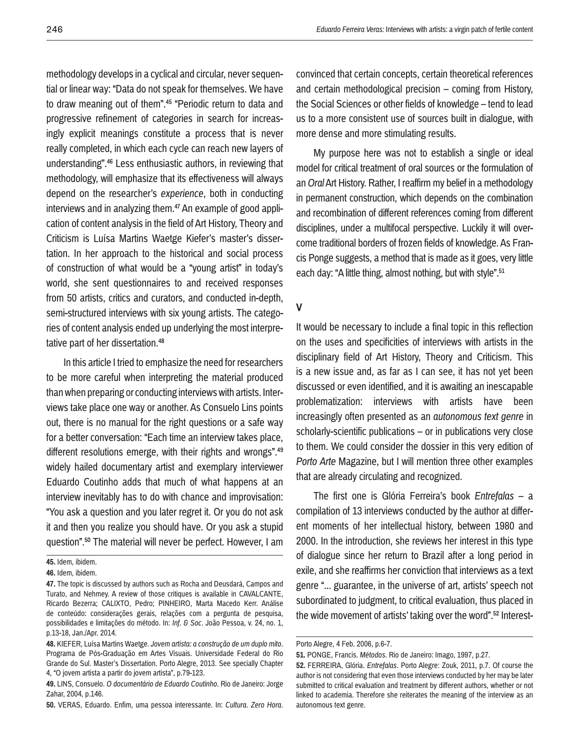methodology develops in a cyclical and circular, never sequential or linear way: "Data do not speak for themselves. We have to draw meaning out of them".<sup>45</sup> "Periodic return to data and progressive refinement of categories in search for increasingly explicit meanings constitute a process that is never really completed, in which each cycle can reach new layers of understanding".46 Less enthusiastic authors, in reviewing that methodology, will emphasize that its effectiveness will always depend on the researcher's *experience*, both in conducting interviews and in analyzing them.<sup>47</sup> An example of good application of content analysis in the field of Art History, Theory and Criticism is Luísa Martins Waetge Kiefer's master's dissertation. In her approach to the historical and social process of construction of what would be a "young artist" in today's world, she sent questionnaires to and received responses from 50 artists, critics and curators, and conducted in-depth, semi-structured interviews with six young artists. The categories of content analysis ended up underlying the most interpretative part of her dissertation.<sup>48</sup>

In this article I tried to emphasize the need for researchers to be more careful when interpreting the material produced than when preparing or conducting interviews with artists. Interviews take place one way or another. As Consuelo Lins points out, there is no manual for the right questions or a safe way for a better conversation: "Each time an interview takes place, different resolutions emerge, with their rights and wrongs".<sup>49</sup> widely hailed documentary artist and exemplary interviewer Eduardo Coutinho adds that much of what happens at an interview inevitably has to do with chance and improvisation: "You ask a question and you later regret it. Or you do not ask it and then you realize you should have. Or you ask a stupid question".50 The material will never be perfect. However, I am

**50.** VERAS, Eduardo. Enfim, uma pessoa interessante. In: *Cultura*. *Zero Hora*.

convinced that certain concepts, certain theoretical references and certain methodological precision – coming from History, the Social Sciences or other fields of knowledge – tend to lead us to a more consistent use of sources built in dialogue, with more dense and more stimulating results.

My purpose here was not to establish a single or ideal model for critical treatment of oral sources or the formulation of an *Oral* Art History. Rather, I reaffirm my belief in a methodology in permanent construction, which depends on the combination and recombination of different references coming from different disciplines, under a multifocal perspective. Luckily it will overcome traditional borders of frozen fields of knowledge. As Francis Ponge suggests, a method that is made as it goes, very little each day: "A little thing, almost nothing, but with style".<sup>51</sup>

# **V**

It would be necessary to include a final topic in this reflection on the uses and specificities of interviews with artists in the disciplinary field of Art History, Theory and Criticism. This is a new issue and, as far as I can see, it has not yet been discussed or even identified, and it is awaiting an inescapable problematization: interviews with artists have been increasingly often presented as an *autonomous text genre* in scholarly-scientific publications – or in publications very close to them. We could consider the dossier in this very edition of *Porto Arte* Magazine, but I will mention three other examples that are already circulating and recognized.

The first one is Glória Ferreira's book *Entrefalas* – a compilation of 13 interviews conducted by the author at different moments of her intellectual history, between 1980 and 2000. In the introduction, she reviews her interest in this type of dialogue since her return to Brazil after a long period in exile, and she reaffirms her conviction that interviews as a text genre "... guarantee, in the universe of art, artists' speech not subordinated to judgment, to critical evaluation, thus placed in the wide movement of artists' taking over the word".52 Interest-

**<sup>45.</sup>** Idem, ibidem.

**<sup>46.</sup>** Idem, ibidem.

**<sup>47.</sup>** The topic is discussed by authors such as Rocha and Deusdará, Campos and Turato, and Nehmey. A review of those critiques is available in CAVALCANTE, Ricardo Bezerra; CALIXTO, Pedro; PINHEIRO, Marta Macedo Kerr. Análise de conteúdo: considerações gerais, relações com a pergunta de pesquisa, possibilidades e limitações do método. In: *Inf. & Soc*. João Pessoa, v. 24, no. 1, p.13-18, Jan./Apr. 2014.

**<sup>48.</sup>** KIEFER, Luísa Martins Waetge. *Jovem artista: a construção de um duplo mito*. Programa de Pós-Graduação em Artes Visuais. Universidade Federal do Rio Grande do Sul. Master's Dissertation. Porto Alegre, 2013. See specially Chapter 4, "O jovem artista a partir do jovem artista", p.79-123.

**<sup>49.</sup>** LINS, Consuelo. *O documentário de Eduardo Coutinho*. Rio de Janeiro: Jorge Zahar, 2004, p.146.

Porto Alegre, 4 Feb. 2006, p.6-7.

**<sup>51.</sup>** PONGE, Francis. *Métodos*. Rio de Janeiro: Imago, 1997, p.27.

**<sup>52.</sup>** FERREIRA, Glória. *Entrefalas*. Porto Alegre: Zouk, 2011, p.7. Of course the author is not considering that even those interviews conducted by her may be later submitted to critical evaluation and treatment by different authors, whether or not linked to academia. Therefore she reiterates the meaning of the interview as an autonomous text genre.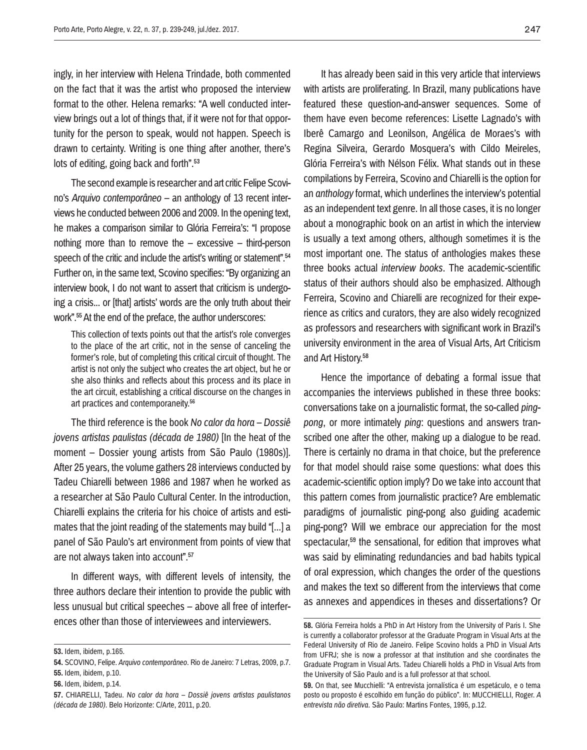ingly, in her interview with Helena Trindade, both commented on the fact that it was the artist who proposed the interview format to the other. Helena remarks: "A well conducted interview brings out a lot of things that, if it were not for that opportunity for the person to speak, would not happen. Speech is drawn to certainty. Writing is one thing after another, there's lots of editing, going back and forth".53

The second example is researcher and art critic Felipe Scovino's *Arquivo contemporâneo* – an anthology of 13 recent interviews he conducted between 2006 and 2009. In the opening text, he makes a comparison similar to Glória Ferreira's: "I propose nothing more than to remove the – excessive – third-person speech of the critic and include the artist's writing or statement".<sup>54</sup> Further on, in the same text, Scovino specifies: "By organizing an interview book, I do not want to assert that criticism is undergoing a crisis... or [that] artists' words are the only truth about their work".55 At the end of the preface, the author underscores:

This collection of texts points out that the artist's role converges to the place of the art critic, not in the sense of canceling the former's role, but of completing this critical circuit of thought. The artist is not only the subject who creates the art object, but he or she also thinks and reflects about this process and its place in the art circuit, establishing a critical discourse on the changes in art practices and contemporaneity.56

The third reference is the book *No calor da hora – Dossiê jovens artistas paulistas (década de 1980)* [In the heat of the moment – Dossier young artists from São Paulo (1980s)]. After 25 years, the volume gathers 28 interviews conducted by Tadeu Chiarelli between 1986 and 1987 when he worked as a researcher at São Paulo Cultural Center. In the introduction, Chiarelli explains the criteria for his choice of artists and estimates that the joint reading of the statements may build "[...] a panel of São Paulo's art environment from points of view that are not always taken into account".57

In different ways, with different levels of intensity, the three authors declare their intention to provide the public with less unusual but critical speeches – above all free of interferences other than those of interviewees and interviewers.

It has already been said in this very article that interviews with artists are proliferating. In Brazil, many publications have featured these question-and-answer sequences. Some of them have even become references: Lisette Lagnado's with Iberê Camargo and Leonilson, Angélica de Moraes's with Regina Silveira, Gerardo Mosquera's with Cildo Meireles, Glória Ferreira's with Nélson Félix. What stands out in these compilations by Ferreira, Scovino and Chiarelli is the option for an *anthology* format, which underlines the interview's potential as an independent text genre. In all those cases, it is no longer about a monographic book on an artist in which the interview is usually a text among others, although sometimes it is the most important one. The status of anthologies makes these three books actual *interview books*. The academic-scientific status of their authors should also be emphasized. Although Ferreira, Scovino and Chiarelli are recognized for their experience as critics and curators, they are also widely recognized as professors and researchers with significant work in Brazil's university environment in the area of Visual Arts, Art Criticism and Art History.58

Hence the importance of debating a formal issue that accompanies the interviews published in these three books: conversations take on a journalistic format, the so-called *pingpong*, or more intimately *ping*: questions and answers transcribed one after the other, making up a dialogue to be read. There is certainly no drama in that choice, but the preference for that model should raise some questions: what does this academic-scientific option imply? Do we take into account that this pattern comes from journalistic practice? Are emblematic paradigms of journalistic ping-pong also guiding academic ping-pong? Will we embrace our appreciation for the most spectacular.<sup>59</sup> the sensational, for edition that improves what was said by eliminating redundancies and bad habits typical of oral expression, which changes the order of the questions and makes the text so different from the interviews that come as annexes and appendices in theses and dissertations? Or

**<sup>53.</sup>** Idem, ibidem, p.165.

**<sup>54.</sup>** SCOVINO, Felipe. *Arquivo contemporâneo*. Rio de Janeiro: 7 Letras, 2009, p.7. **55.** Idem, ibidem, p.10.

**<sup>56.</sup>** Idem, ibidem, p.14.

**<sup>57.</sup>** CHIARELLI, Tadeu. *No calor da hora – Dossiê jovens artistas paulistanos (década de 1980)*. Belo Horizonte: C/Arte, 2011, p.20.

**<sup>58.</sup>** Glória Ferreira holds a PhD in Art History from the University of Paris I. She is currently a collaborator professor at the Graduate Program in Visual Arts at the Federal University of Rio de Janeiro. Felipe Scovino holds a PhD in Visual Arts from UFRJ; she is now a professor at that institution and she coordinates the Graduate Program in Visual Arts. Tadeu Chiarelli holds a PhD in Visual Arts from the University of São Paulo and is a full professor at that school.

**<sup>59.</sup>** On that, see Mucchielli: "A entrevista jornalística é um espetáculo, e o tema posto ou proposto é escolhido em função do público". In: MUCCHIELLI, Roger. *A entrevista não diretiva*. São Paulo: Martins Fontes, 1995, p.12.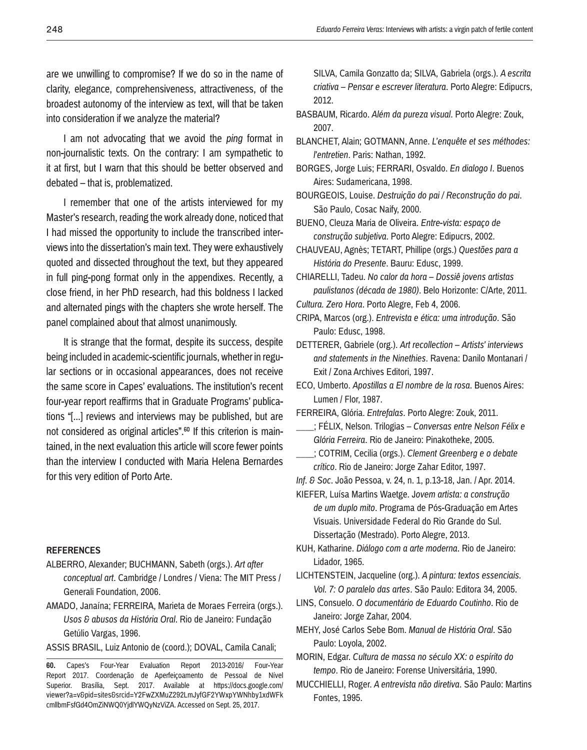are we unwilling to compromise? If we do so in the name of clarity, elegance, comprehensiveness, attractiveness, of the broadest autonomy of the interview as text, will that be taken into consideration if we analyze the material?

I am not advocating that we avoid the *ping* format in non-journalistic texts. On the contrary: I am sympathetic to it at first, but I warn that this should be better observed and debated – that is, problematized.

I remember that one of the artists interviewed for my Master's research, reading the work already done, noticed that I had missed the opportunity to include the transcribed interviews into the dissertation's main text. They were exhaustively quoted and dissected throughout the text, but they appeared in full ping-pong format only in the appendixes. Recently, a close friend, in her PhD research, had this boldness I lacked and alternated pings with the chapters she wrote herself. The panel complained about that almost unanimously.

It is strange that the format, despite its success, despite being included in academic-scientific journals, whether in regular sections or in occasional appearances, does not receive the same score in Capes' evaluations. The institution's recent four-year report reaffirms that in Graduate Programs' publications "[...] reviews and interviews may be published, but are not considered as original articles".<sup>60</sup> If this criterion is maintained, in the next evaluation this article will score fewer points than the interview I conducted with Maria Helena Bernardes for this very edition of Porto Arte.

#### **References**

ALBERRO, Alexander; BUCHMANN, Sabeth (orgs.). *Art after* 

*conceptual art*. Cambridge / Londres / Viena: The MIT Press / Generali Foundation, 2006.

AMADO, Janaína; FERREIRA, Marieta de Moraes Ferreira (orgs.). *Usos & abusos da História Oral*. Rio de Janeiro: Fundação Getúlio Vargas, 1996.

ASSIS BRASIL, Luiz Antonio de (coord.); DOVAL, Camila Canali;

SILVA, Camila Gonzatto da; SILVA, Gabriela (orgs.). *A escrita criativa – Pensar e escrever literatura*. Porto Alegre: Edipucrs, 2012.

- BASBAUM, Ricardo. *Além da pureza visual*. Porto Alegre: Zouk, 2007.
- BLANCHET, Alain; GOTMANN, Anne. *L'enquête et ses méthodes: l'entretien*. Paris: Nathan, 1992.
- BORGES, Jorge Luis; FERRARI, Osvaldo. *En dialogo I*. Buenos Aires: Sudamericana, 1998.

BOURGEOIS, Louise. *Destruição do pai / Reconstrução do pai*. São Paulo, Cosac Naify, 2000.

BUENO, Cleuza Maria de Oliveira. *Entre-vista: espaço de construção subjetiva*. Porto Alegre: Edipucrs, 2002.

CHAUVEAU, Agnès; TETART, Phillipe (orgs.) *Questões para a História do Presente*. Bauru: Edusc, 1999.

CHIARELLI, Tadeu. *No calor da hora – Dossiê jovens artistas paulistanos (década de 1980)*. Belo Horizonte: C/Arte, 2011.

*Cultura. Zero Hora*. Porto Alegre, Feb 4, 2006.

CRIPA, Marcos (org.). *Entrevista e ética: uma introdução*. São Paulo: Edusc, 1998.

DETTERER, Gabriele (org.). *Art recollection – Artists' interviews and statements in the Ninethies*. Ravena: Danilo Montanari / Exit / Zona Archives Editori, 1997.

ECO, Umberto. *Apostillas a El nombre de la rosa*. Buenos Aires: Lumen / Flor, 1987.

FERREIRA, Glória. *Entrefalas*. Porto Alegre: Zouk, 2011.

- \_\_\_\_; FÉLIX, Nelson. Trilogias *Conversas entre Nelson Félix e Glória Ferreira*. Rio de Janeiro: Pinakotheke, 2005.
- \_\_\_\_; COTRIM, Cecilia (orgs.). *Clement Greenberg e o debate crítico*. Rio de Janeiro: Jorge Zahar Editor, 1997.

*Inf. & Soc*. João Pessoa, v. 24, n. 1, p.13-18, Jan. / Apr. 2014.

KIEFER, Luísa Martins Waetge. J*ovem artista: a construção de um duplo mito*. Programa de Pós-Graduação em Artes Visuais. Universidade Federal do Rio Grande do Sul. Dissertação (Mestrado). Porto Alegre, 2013.

KUH, Katharine. *Diálogo com a arte moderna*. Rio de Janeiro: Lidador, 1965.

LICHTENSTEIN, Jacqueline (org.). *A pintura: textos essenciais. Vol. 7: O paralelo das artes*. São Paulo: Editora 34, 2005.

- LINS, Consuelo. *O documentário de Eduardo Coutinho*. Rio de Janeiro: Jorge Zahar, 2004.
- MEHY, José Carlos Sebe Bom. *Manual de História Oral*. São Paulo: Loyola, 2002.
- MORIN, Edgar. *Cultura de massa no século XX: o espírito do tempo*. Rio de Janeiro: Forense Universitária, 1990.
- MUCCHIELLI, Roger. *A entrevista não diretiva*. São Paulo: Martins Fontes, 1995.

**<sup>60.</sup>** Capes's Four-Year Evaluation Report 2013-2016/ Four-Year Report 2017. Coordenação de Aperfeiçoamento de Pessoal de Nível Superior. Brasília. Sept. 2017. Available at https://docs.google.com/ viewer?a=v&pid=sites&srcid=Y2FwZXMuZ292LmJyfGF2YWxpYWNhby1xdWFk cmllbmFsfGd4OmZiNWQ0YjdlYWQyNzViZA. Accessed on Sept. 25, 2017.